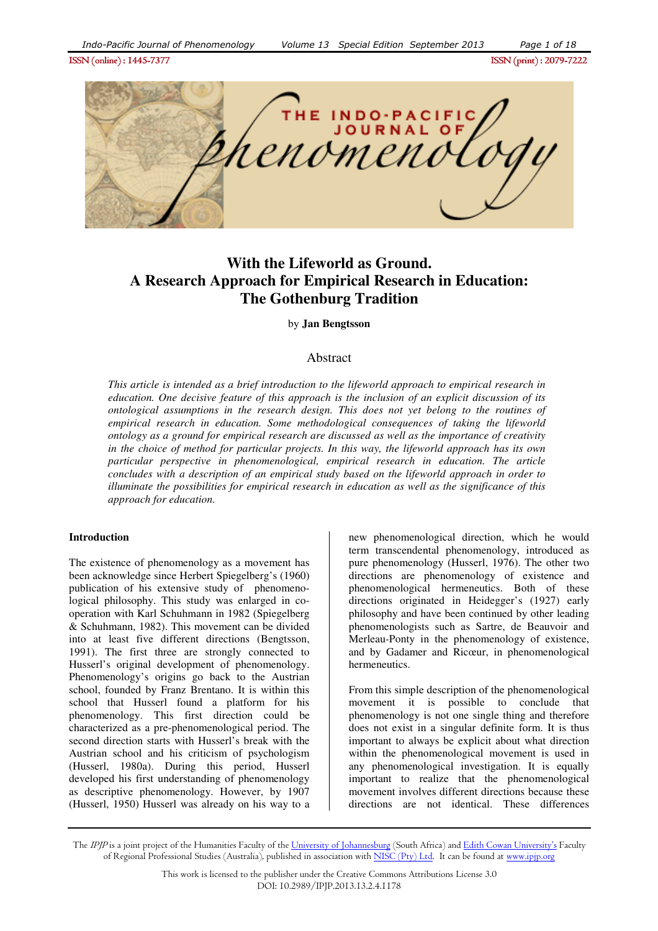

# **With the Lifeworld as Ground. A Research Approach for Empirical Research in Education: The Gothenburg Tradition**

by **Jan Bengtsson**

# Abstract

*This article is intended as a brief introduction to the lifeworld approach to empirical research in education. One decisive feature of this approach is the inclusion of an explicit discussion of its ontological assumptions in the research design. This does not yet belong to the routines of empirical research in education. Some methodological consequences of taking the lifeworld ontology as a ground for empirical research are discussed as well as the importance of creativity in the choice of method for particular projects. In this way, the lifeworld approach has its own particular perspective in phenomenological, empirical research in education. The article concludes with a description of an empirical study based on the lifeworld approach in order to illuminate the possibilities for empirical research in education as well as the significance of this approach for education.* 

### **Introduction**

The existence of phenomenology as a movement has been acknowledge since Herbert Spiegelberg's (1960) publication of his extensive study of phenomenological philosophy. This study was enlarged in cooperation with Karl Schuhmann in 1982 (Spiegelberg & Schuhmann, 1982). This movement can be divided into at least five different directions (Bengtsson, 1991). The first three are strongly connected to Husserl's original development of phenomenology. Phenomenology's origins go back to the Austrian school, founded by Franz Brentano. It is within this school that Husserl found a platform for his phenomenology. This first direction could be characterized as a pre-phenomenological period. The second direction starts with Husserl's break with the Austrian school and his criticism of psychologism (Husserl, 1980a). During this period, Husserl developed his first understanding of phenomenology as descriptive phenomenology. However, by 1907 (Husserl, 1950) Husserl was already on his way to a new phenomenological direction, which he would term transcendental phenomenology, introduced as pure phenomenology (Husserl, 1976). The other two directions are phenomenology of existence and phenomenological hermeneutics. Both of these directions originated in Heidegger's (1927) early philosophy and have been continued by other leading phenomenologists such as Sartre, de Beauvoir and Merleau-Ponty in the phenomenology of existence, and by Gadamer and Ricœur, in phenomenological hermeneutics.

From this simple description of the phenomenological movement it is possible to conclude that phenomenology is not one single thing and therefore does not exist in a singular definite form. It is thus important to always be explicit about what direction within the phenomenological movement is used in any phenomenological investigation. It is equally important to realize that the phenomenological movement involves different directions because these directions are not identical. These differences

The IPJP is a joint project of the Humanities Faculty of the University of Johannesburg (South Africa) and Edith Cowan University's Faculty of Regional Professional Studies (Australia), published in association with NISC (Pty) Ltd. It can be found at www.ipjp.org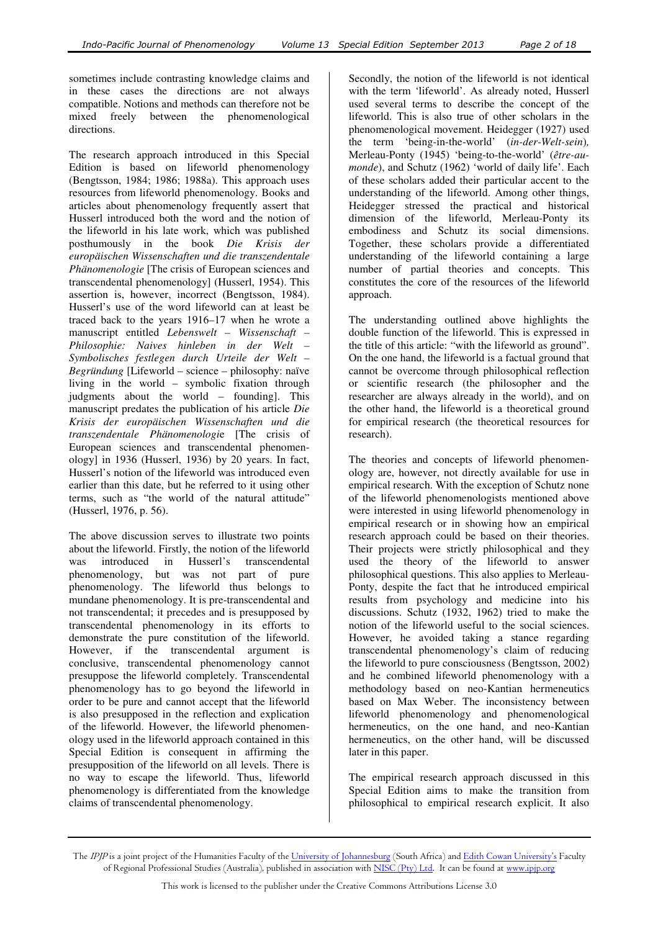sometimes include contrasting knowledge claims and in these cases the directions are not always compatible. Notions and methods can therefore not be mixed freely between the phenomenological directions.

The research approach introduced in this Special Edition is based on lifeworld phenomenology (Bengtsson, 1984; 1986; 1988a). This approach uses resources from lifeworld phenomenology. Books and articles about phenomenology frequently assert that Husserl introduced both the word and the notion of the lifeworld in his late work, which was published posthumously in the book *Die Krisis der europäischen Wissenschaften und die transzendentale Phänomenologie* [The crisis of European sciences and transcendental phenomenology] (Husserl, 1954). This assertion is, however, incorrect (Bengtsson, 1984). Husserl's use of the word lifeworld can at least be traced back to the years 1916–17 when he wrote a manuscript entitled *Lebenswelt – Wissenschaft – Philosophie: Naives hinleben in der Welt – Symbolisches festlegen durch Urteile der Welt – Begründung* [Lifeworld – science – philosophy: naïve living in the world – symbolic fixation through judgments about the world – founding]. This manuscript predates the publication of his article *Die Krisis der europäischen Wissenschaften und die transzendentale Phänomenologi*e [The crisis of European sciences and transcendental phenomenology] in 1936 (Husserl, 1936) by 20 years. In fact, Husserl's notion of the lifeworld was introduced even earlier than this date, but he referred to it using other terms, such as "the world of the natural attitude" (Husserl, 1976, p. 56).

The above discussion serves to illustrate two points about the lifeworld. Firstly, the notion of the lifeworld was introduced in Husserl's transcendental phenomenology, but was not part of pure phenomenology. The lifeworld thus belongs to mundane phenomenology. It is pre-transcendental and not transcendental; it precedes and is presupposed by transcendental phenomenology in its efforts to demonstrate the pure constitution of the lifeworld. However, if the transcendental argument is conclusive, transcendental phenomenology cannot presuppose the lifeworld completely. Transcendental phenomenology has to go beyond the lifeworld in order to be pure and cannot accept that the lifeworld is also presupposed in the reflection and explication of the lifeworld. However, the lifeworld phenomenology used in the lifeworld approach contained in this Special Edition is consequent in affirming the presupposition of the lifeworld on all levels. There is no way to escape the lifeworld. Thus, lifeworld phenomenology is differentiated from the knowledge claims of transcendental phenomenology.

Secondly, the notion of the lifeworld is not identical with the term 'lifeworld'. As already noted, Husserl used several terms to describe the concept of the lifeworld. This is also true of other scholars in the phenomenological movement. Heidegger (1927) used the term 'being-in-the-world' (*in-der-Welt-sein*)*,* Merleau-Ponty (1945) 'being-to-the-world' (*être-aumonde*), and Schutz (1962) 'world of daily life'. Each of these scholars added their particular accent to the understanding of the lifeworld. Among other things, Heidegger stressed the practical and historical dimension of the lifeworld, Merleau-Ponty its embodiness and Schutz its social dimensions. Together, these scholars provide a differentiated understanding of the lifeworld containing a large number of partial theories and concepts. This constitutes the core of the resources of the lifeworld approach.

The understanding outlined above highlights the double function of the lifeworld. This is expressed in the title of this article: "with the lifeworld as ground". On the one hand, the lifeworld is a factual ground that cannot be overcome through philosophical reflection or scientific research (the philosopher and the researcher are always already in the world), and on the other hand, the lifeworld is a theoretical ground for empirical research (the theoretical resources for research).

The theories and concepts of lifeworld phenomenology are, however, not directly available for use in empirical research. With the exception of Schutz none of the lifeworld phenomenologists mentioned above were interested in using lifeworld phenomenology in empirical research or in showing how an empirical research approach could be based on their theories. Their projects were strictly philosophical and they used the theory of the lifeworld to answer philosophical questions. This also applies to Merleau-Ponty, despite the fact that he introduced empirical results from psychology and medicine into his discussions. Schutz (1932, 1962) tried to make the notion of the lifeworld useful to the social sciences. However, he avoided taking a stance regarding transcendental phenomenology's claim of reducing the lifeworld to pure consciousness (Bengtsson, 2002) and he combined lifeworld phenomenology with a methodology based on neo-Kantian hermeneutics based on Max Weber. The inconsistency between lifeworld phenomenology and phenomenological hermeneutics, on the one hand, and neo-Kantian hermeneutics, on the other hand, will be discussed later in this paper.

The empirical research approach discussed in this Special Edition aims to make the transition from philosophical to empirical research explicit. It also

The IPJP is a joint project of the Humanities Faculty of the University of Johannesburg (South Africa) and Edith Cowan University's Faculty of Regional Professional Studies (Australia), published in association with NISC (Pty) Ltd. It can be found at www.ipjp.org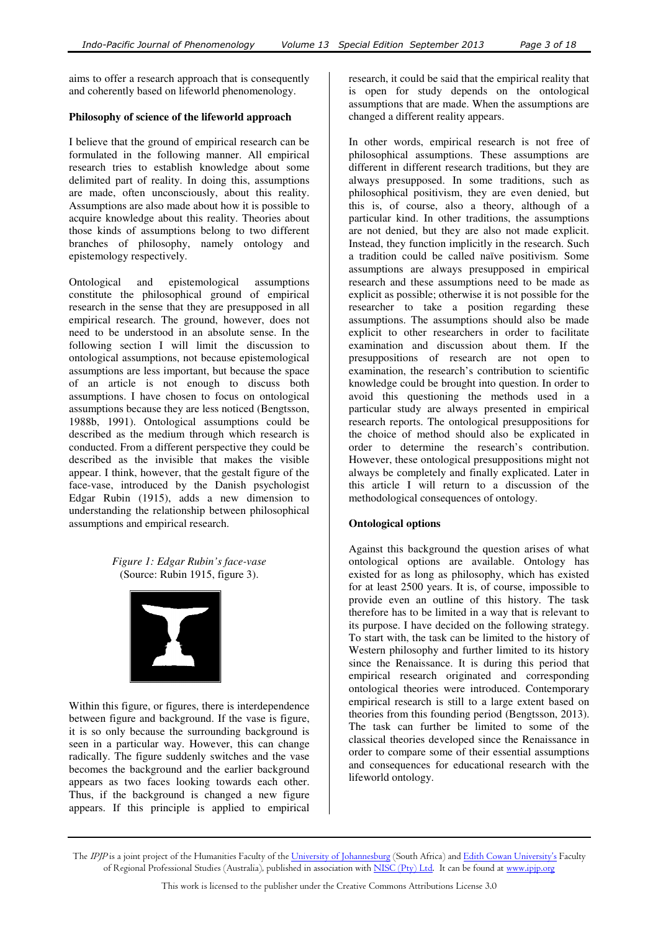aims to offer a research approach that is consequently and coherently based on lifeworld phenomenology.

### **Philosophy of science of the lifeworld approach**

I believe that the ground of empirical research can be formulated in the following manner. All empirical research tries to establish knowledge about some delimited part of reality. In doing this, assumptions are made, often unconsciously, about this reality. Assumptions are also made about how it is possible to acquire knowledge about this reality. Theories about those kinds of assumptions belong to two different branches of philosophy, namely ontology and epistemology respectively.

Ontological and epistemological assumptions constitute the philosophical ground of empirical research in the sense that they are presupposed in all empirical research. The ground, however, does not need to be understood in an absolute sense. In the following section I will limit the discussion to ontological assumptions, not because epistemological assumptions are less important, but because the space of an article is not enough to discuss both assumptions. I have chosen to focus on ontological assumptions because they are less noticed (Bengtsson, 1988b, 1991). Ontological assumptions could be described as the medium through which research is conducted. From a different perspective they could be described as the invisible that makes the visible appear. I think, however, that the gestalt figure of the face-vase, introduced by the Danish psychologist Edgar Rubin (1915), adds a new dimension to understanding the relationship between philosophical assumptions and empirical research.

# *Figure 1: Edgar Rubin's face-vase*  (Source: Rubin 1915, figure 3).



Within this figure, or figures, there is interdependence between figure and background. If the vase is figure, it is so only because the surrounding background is seen in a particular way. However, this can change radically. The figure suddenly switches and the vase becomes the background and the earlier background appears as two faces looking towards each other. Thus, if the background is changed a new figure appears. If this principle is applied to empirical

research, it could be said that the empirical reality that is open for study depends on the ontological assumptions that are made. When the assumptions are changed a different reality appears.

In other words, empirical research is not free of philosophical assumptions. These assumptions are different in different research traditions, but they are always presupposed. In some traditions, such as philosophical positivism, they are even denied, but this is, of course, also a theory, although of a particular kind. In other traditions, the assumptions are not denied, but they are also not made explicit. Instead, they function implicitly in the research. Such a tradition could be called naïve positivism. Some assumptions are always presupposed in empirical research and these assumptions need to be made as explicit as possible; otherwise it is not possible for the researcher to take a position regarding these assumptions. The assumptions should also be made explicit to other researchers in order to facilitate examination and discussion about them. If the presuppositions of research are not open to examination, the research's contribution to scientific knowledge could be brought into question. In order to avoid this questioning the methods used in a particular study are always presented in empirical research reports. The ontological presuppositions for the choice of method should also be explicated in order to determine the research's contribution. However, these ontological presuppositions might not always be completely and finally explicated. Later in this article I will return to a discussion of the methodological consequences of ontology.

# **Ontological options**

Against this background the question arises of what ontological options are available. Ontology has existed for as long as philosophy, which has existed for at least 2500 years. It is, of course, impossible to provide even an outline of this history. The task therefore has to be limited in a way that is relevant to its purpose. I have decided on the following strategy. To start with, the task can be limited to the history of Western philosophy and further limited to its history since the Renaissance. It is during this period that empirical research originated and corresponding ontological theories were introduced. Contemporary empirical research is still to a large extent based on theories from this founding period (Bengtsson, 2013). The task can further be limited to some of the classical theories developed since the Renaissance in order to compare some of their essential assumptions and consequences for educational research with the lifeworld ontology.

The *IPJP* is a joint project of the Humanities Faculty of the <u>University of Johannesburg</u> (South Africa) and <u>Edith Cowan University's</u> Faculty of Regional Professional Studies (Australia), published in association with <u>NISC (Pty) Ltd</u>. It can be found at <u>www.ipjp.org</u>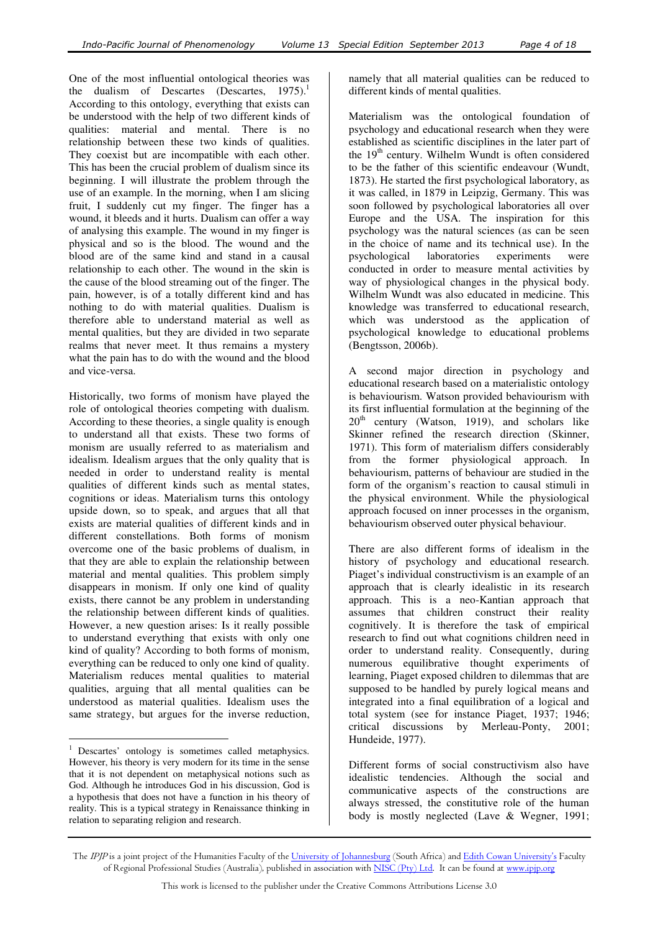One of the most influential ontological theories was the dualism of Descartes (Descartes,  $1975$ ).<sup>1</sup> According to this ontology, everything that exists can be understood with the help of two different kinds of qualities: material and mental. There is no relationship between these two kinds of qualities. They coexist but are incompatible with each other. This has been the crucial problem of dualism since its beginning. I will illustrate the problem through the use of an example. In the morning, when I am slicing fruit, I suddenly cut my finger. The finger has a wound, it bleeds and it hurts. Dualism can offer a way of analysing this example. The wound in my finger is physical and so is the blood. The wound and the blood are of the same kind and stand in a causal relationship to each other. The wound in the skin is the cause of the blood streaming out of the finger. The pain, however, is of a totally different kind and has nothing to do with material qualities. Dualism is therefore able to understand material as well as mental qualities, but they are divided in two separate realms that never meet. It thus remains a mystery what the pain has to do with the wound and the blood and vice-versa.

Historically, two forms of monism have played the role of ontological theories competing with dualism. According to these theories, a single quality is enough to understand all that exists. These two forms of monism are usually referred to as materialism and idealism. Idealism argues that the only quality that is needed in order to understand reality is mental qualities of different kinds such as mental states, cognitions or ideas. Materialism turns this ontology upside down, so to speak, and argues that all that exists are material qualities of different kinds and in different constellations. Both forms of monism overcome one of the basic problems of dualism, in that they are able to explain the relationship between material and mental qualities. This problem simply disappears in monism. If only one kind of quality exists, there cannot be any problem in understanding the relationship between different kinds of qualities. However, a new question arises: Is it really possible to understand everything that exists with only one kind of quality? According to both forms of monism, everything can be reduced to only one kind of quality. Materialism reduces mental qualities to material qualities, arguing that all mental qualities can be understood as material qualities. Idealism uses the same strategy, but argues for the inverse reduction,

 $\overline{a}$ 

namely that all material qualities can be reduced to different kinds of mental qualities.

Materialism was the ontological foundation of psychology and educational research when they were established as scientific disciplines in the later part of the  $19<sup>th</sup>$  century. Wilhelm Wundt is often considered to be the father of this scientific endeavour (Wundt, 1873). He started the first psychological laboratory, as it was called, in 1879 in Leipzig, Germany. This was soon followed by psychological laboratories all over Europe and the USA. The inspiration for this psychology was the natural sciences (as can be seen in the choice of name and its technical use). In the psychological laboratories experiments were conducted in order to measure mental activities by way of physiological changes in the physical body. Wilhelm Wundt was also educated in medicine. This knowledge was transferred to educational research, which was understood as the application of psychological knowledge to educational problems (Bengtsson, 2006b).

A second major direction in psychology and educational research based on a materialistic ontology is behaviourism. Watson provided behaviourism with its first influential formulation at the beginning of the  $20<sup>th</sup>$  century (Watson, 1919), and scholars like Skinner refined the research direction (Skinner, 1971). This form of materialism differs considerably from the former physiological approach. In behaviourism, patterns of behaviour are studied in the form of the organism's reaction to causal stimuli in the physical environment. While the physiological approach focused on inner processes in the organism, behaviourism observed outer physical behaviour.

There are also different forms of idealism in the history of psychology and educational research. Piaget's individual constructivism is an example of an approach that is clearly idealistic in its research approach. This is a neo-Kantian approach that assumes that children construct their reality cognitively. It is therefore the task of empirical research to find out what cognitions children need in order to understand reality. Consequently, during numerous equilibrative thought experiments of learning, Piaget exposed children to dilemmas that are supposed to be handled by purely logical means and integrated into a final equilibration of a logical and total system (see for instance Piaget, 1937; 1946; critical discussions by Merleau-Ponty, 2001; Hundeide, 1977).

Different forms of social constructivism also have idealistic tendencies. Although the social and communicative aspects of the constructions are always stressed, the constitutive role of the human body is mostly neglected (Lave & Wegner, 1991;

<sup>&</sup>lt;sup>1</sup> Descartes' ontology is sometimes called metaphysics. However, his theory is very modern for its time in the sense that it is not dependent on metaphysical notions such as God. Although he introduces God in his discussion, God is a hypothesis that does not have a function in his theory of reality. This is a typical strategy in Renaissance thinking in relation to separating religion and research.

The IPJP is a joint project of the Humanities Faculty of the University of Johannesburg (South Africa) and Edith Cowan University's Faculty of Regional Professional Studies (Australia), published in association with NISC (Pty) Ltd. It can be found at www.ipjp.org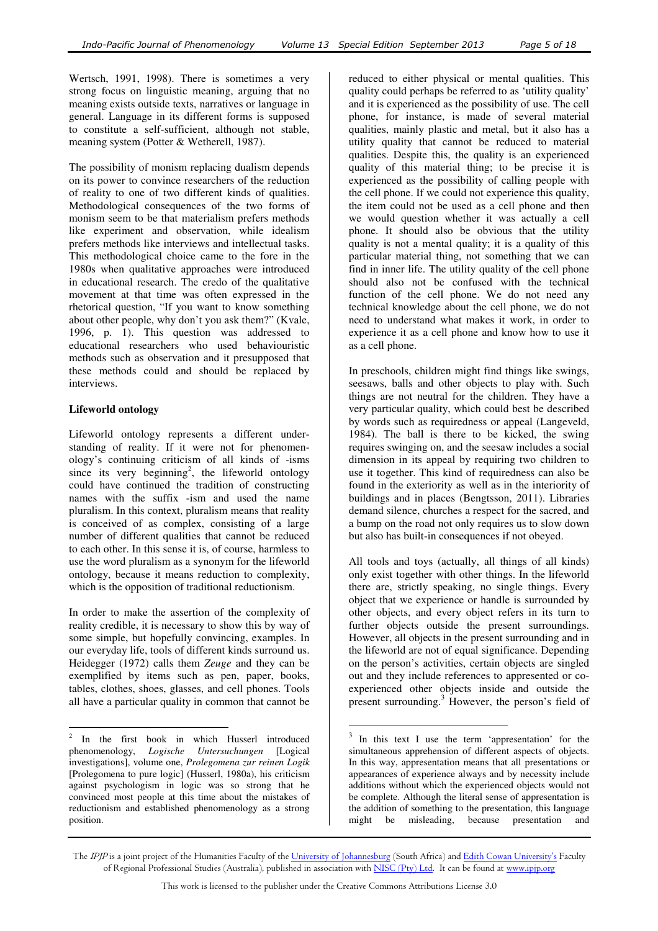Wertsch, 1991, 1998). There is sometimes a very strong focus on linguistic meaning, arguing that no meaning exists outside texts, narratives or language in general. Language in its different forms is supposed to constitute a self-sufficient, although not stable, meaning system (Potter & Wetherell, 1987).

The possibility of monism replacing dualism depends on its power to convince researchers of the reduction of reality to one of two different kinds of qualities. Methodological consequences of the two forms of monism seem to be that materialism prefers methods like experiment and observation, while idealism prefers methods like interviews and intellectual tasks. This methodological choice came to the fore in the 1980s when qualitative approaches were introduced in educational research. The credo of the qualitative movement at that time was often expressed in the rhetorical question, "If you want to know something about other people, why don't you ask them?" (Kvale, 1996, p. 1). This question was addressed to educational researchers who used behaviouristic methods such as observation and it presupposed that these methods could and should be replaced by interviews.

# **Lifeworld ontology**

Lifeworld ontology represents a different understanding of reality. If it were not for phenomenology's continuing criticism of all kinds of -isms since its very beginning<sup>2</sup>, the lifeworld ontology could have continued the tradition of constructing names with the suffix -ism and used the name pluralism. In this context, pluralism means that reality is conceived of as complex, consisting of a large number of different qualities that cannot be reduced to each other. In this sense it is, of course, harmless to use the word pluralism as a synonym for the lifeworld ontology, because it means reduction to complexity, which is the opposition of traditional reductionism.

In order to make the assertion of the complexity of reality credible, it is necessary to show this by way of some simple, but hopefully convincing, examples. In our everyday life, tools of different kinds surround us. Heidegger (1972) calls them *Zeuge* and they can be exemplified by items such as pen, paper, books, tables, clothes, shoes, glasses, and cell phones. Tools all have a particular quality in common that cannot be

reduced to either physical or mental qualities. This quality could perhaps be referred to as 'utility quality' and it is experienced as the possibility of use. The cell phone, for instance, is made of several material qualities, mainly plastic and metal, but it also has a utility quality that cannot be reduced to material qualities. Despite this, the quality is an experienced quality of this material thing; to be precise it is experienced as the possibility of calling people with the cell phone. If we could not experience this quality, the item could not be used as a cell phone and then we would question whether it was actually a cell phone. It should also be obvious that the utility quality is not a mental quality; it is a quality of this particular material thing, not something that we can find in inner life. The utility quality of the cell phone should also not be confused with the technical function of the cell phone. We do not need any technical knowledge about the cell phone, we do not need to understand what makes it work, in order to experience it as a cell phone and know how to use it as a cell phone.

In preschools, children might find things like swings, seesaws, balls and other objects to play with. Such things are not neutral for the children. They have a very particular quality, which could best be described by words such as requiredness or appeal (Langeveld, 1984). The ball is there to be kicked, the swing requires swinging on, and the seesaw includes a social dimension in its appeal by requiring two children to use it together. This kind of requiredness can also be found in the exteriority as well as in the interiority of buildings and in places (Bengtsson, 2011). Libraries demand silence, churches a respect for the sacred, and a bump on the road not only requires us to slow down but also has built-in consequences if not obeyed.

All tools and toys (actually, all things of all kinds) only exist together with other things. In the lifeworld there are, strictly speaking, no single things. Every object that we experience or handle is surrounded by other objects, and every object refers in its turn to further objects outside the present surroundings. However, all objects in the present surrounding and in the lifeworld are not of equal significance. Depending on the person's activities, certain objects are singled out and they include references to appresented or coexperienced other objects inside and outside the present surrounding.<sup>3</sup> However, the person's field of

 $\overline{a}$ 

 $\frac{1}{2}$  In the first book in which Husserl introduced phenomenology, *Logische Untersuchungen* [Logical investigations], volume one, *Prolegomena zur reinen Logik* [Prolegomena to pure logic] (Husserl, 1980a), his criticism against psychologism in logic was so strong that he convinced most people at this time about the mistakes of reductionism and established phenomenology as a strong position.

<sup>&</sup>lt;sup>3</sup> In this text I use the term 'appresentation' for the simultaneous apprehension of different aspects of objects. In this way, appresentation means that all presentations or appearances of experience always and by necessity include additions without which the experienced objects would not be complete. Although the literal sense of appresentation is the addition of something to the presentation, this language might be misleading, because presentation and

The IPJP is a joint project of the Humanities Faculty of the University of Johannesburg (South Africa) and Edith Cowan University's Faculty of Regional Professional Studies (Australia), published in association with NISC (Pty) Ltd. It can be found at www.ipjp.org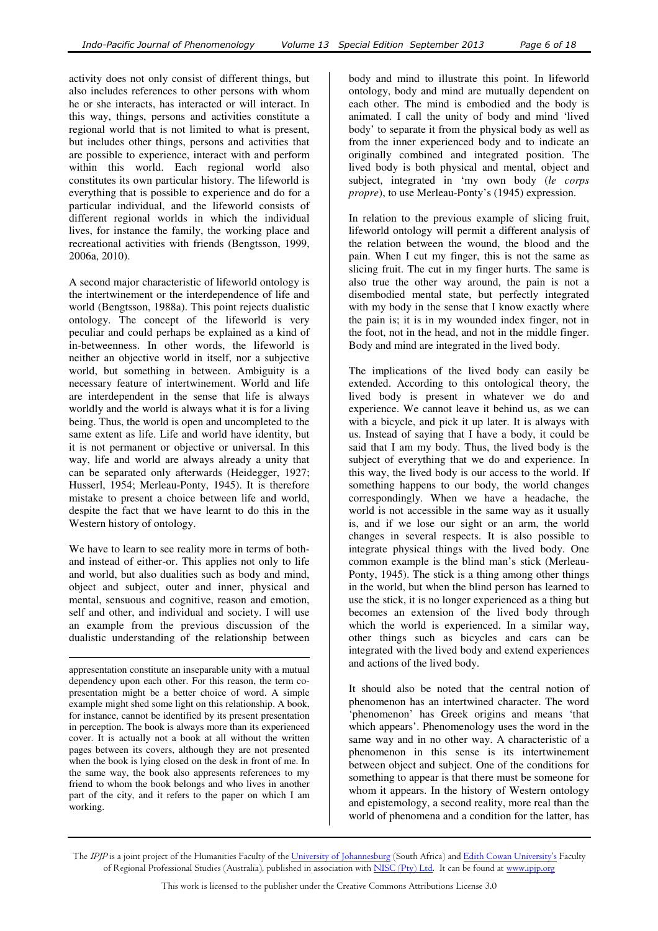activity does not only consist of different things, but also includes references to other persons with whom he or she interacts, has interacted or will interact. In this way, things, persons and activities constitute a regional world that is not limited to what is present, but includes other things, persons and activities that are possible to experience, interact with and perform within this world. Each regional world also constitutes its own particular history. The lifeworld is everything that is possible to experience and do for a particular individual, and the lifeworld consists of different regional worlds in which the individual lives, for instance the family, the working place and recreational activities with friends (Bengtsson, 1999, 2006a, 2010).

A second major characteristic of lifeworld ontology is the intertwinement or the interdependence of life and world (Bengtsson, 1988a). This point rejects dualistic ontology. The concept of the lifeworld is very peculiar and could perhaps be explained as a kind of in-betweenness. In other words, the lifeworld is neither an objective world in itself, nor a subjective world, but something in between. Ambiguity is a necessary feature of intertwinement. World and life are interdependent in the sense that life is always worldly and the world is always what it is for a living being. Thus, the world is open and uncompleted to the same extent as life. Life and world have identity, but it is not permanent or objective or universal. In this way, life and world are always already a unity that can be separated only afterwards (Heidegger, 1927; Husserl, 1954; Merleau-Ponty, 1945). It is therefore mistake to present a choice between life and world, despite the fact that we have learnt to do this in the Western history of ontology.

We have to learn to see reality more in terms of bothand instead of either-or. This applies not only to life and world, but also dualities such as body and mind, object and subject, outer and inner, physical and mental, sensuous and cognitive, reason and emotion, self and other, and individual and society. I will use an example from the previous discussion of the dualistic understanding of the relationship between

 $\overline{a}$ 

body and mind to illustrate this point. In lifeworld ontology, body and mind are mutually dependent on each other. The mind is embodied and the body is animated. I call the unity of body and mind 'lived body' to separate it from the physical body as well as from the inner experienced body and to indicate an originally combined and integrated position. The lived body is both physical and mental, object and subject, integrated in 'my own body (*le corps propre*), to use Merleau-Ponty's (1945) expression.

In relation to the previous example of slicing fruit, lifeworld ontology will permit a different analysis of the relation between the wound, the blood and the pain. When I cut my finger, this is not the same as slicing fruit. The cut in my finger hurts. The same is also true the other way around, the pain is not a disembodied mental state, but perfectly integrated with my body in the sense that I know exactly where the pain is; it is in my wounded index finger, not in the foot, not in the head, and not in the middle finger. Body and mind are integrated in the lived body.

The implications of the lived body can easily be extended. According to this ontological theory, the lived body is present in whatever we do and experience. We cannot leave it behind us, as we can with a bicycle, and pick it up later. It is always with us. Instead of saying that I have a body, it could be said that I am my body. Thus, the lived body is the subject of everything that we do and experience. In this way, the lived body is our access to the world. If something happens to our body, the world changes correspondingly. When we have a headache, the world is not accessible in the same way as it usually is, and if we lose our sight or an arm, the world changes in several respects. It is also possible to integrate physical things with the lived body. One common example is the blind man's stick (Merleau-Ponty, 1945). The stick is a thing among other things in the world, but when the blind person has learned to use the stick, it is no longer experienced as a thing but becomes an extension of the lived body through which the world is experienced. In a similar way, other things such as bicycles and cars can be integrated with the lived body and extend experiences and actions of the lived body.

It should also be noted that the central notion of phenomenon has an intertwined character. The word 'phenomenon' has Greek origins and means 'that which appears'. Phenomenology uses the word in the same way and in no other way. A characteristic of a phenomenon in this sense is its intertwinement between object and subject. One of the conditions for something to appear is that there must be someone for whom it appears. In the history of Western ontology and epistemology, a second reality, more real than the world of phenomena and a condition for the latter, has

appresentation constitute an inseparable unity with a mutual dependency upon each other. For this reason, the term copresentation might be a better choice of word. A simple example might shed some light on this relationship. A book, for instance, cannot be identified by its present presentation in perception. The book is always more than its experienced cover. It is actually not a book at all without the written pages between its covers, although they are not presented when the book is lying closed on the desk in front of me. In the same way, the book also appresents references to my friend to whom the book belongs and who lives in another part of the city, and it refers to the paper on which I am working.

The IPJP is a joint project of the Humanities Faculty of the University of Johannesburg (South Africa) and Edith Cowan University's Faculty of Regional Professional Studies (Australia), published in association with NISC (Pty) Ltd. It can be found at www.ipjp.org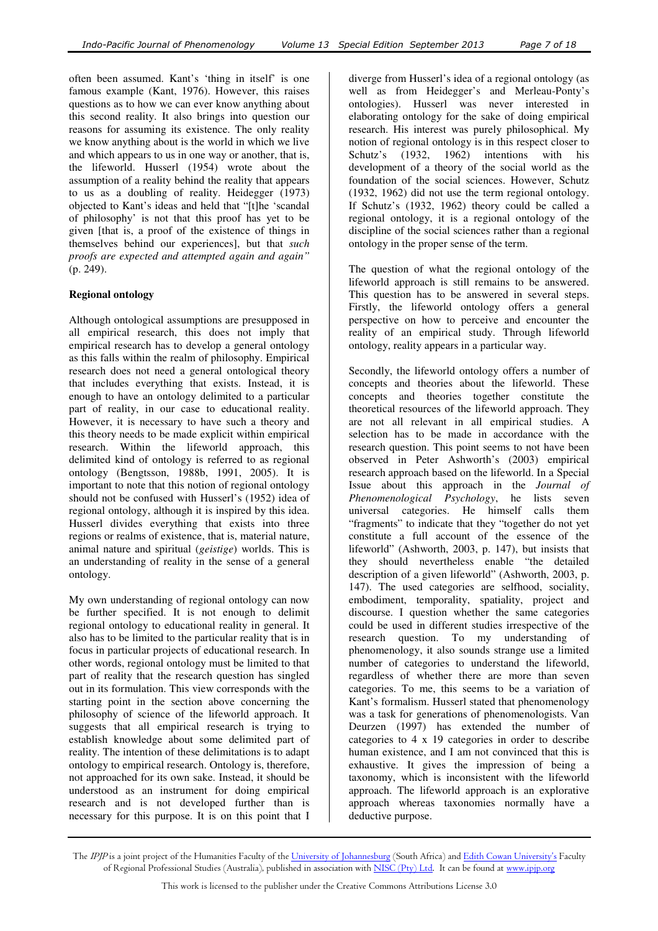often been assumed. Kant's 'thing in itself' is one famous example (Kant, 1976). However, this raises questions as to how we can ever know anything about this second reality. It also brings into question our reasons for assuming its existence. The only reality we know anything about is the world in which we live and which appears to us in one way or another, that is, the lifeworld. Husserl (1954) wrote about the assumption of a reality behind the reality that appears to us as a doubling of reality. Heidegger (1973) objected to Kant's ideas and held that "[t]he 'scandal of philosophy' is not that this proof has yet to be given [that is, a proof of the existence of things in themselves behind our experiences], but that *such proofs are expected and attempted again and again"* (p. 249).

# **Regional ontology**

Although ontological assumptions are presupposed in all empirical research, this does not imply that empirical research has to develop a general ontology as this falls within the realm of philosophy. Empirical research does not need a general ontological theory that includes everything that exists. Instead, it is enough to have an ontology delimited to a particular part of reality, in our case to educational reality. However, it is necessary to have such a theory and this theory needs to be made explicit within empirical research. Within the lifeworld approach, this delimited kind of ontology is referred to as regional ontology (Bengtsson, 1988b, 1991, 2005). It is important to note that this notion of regional ontology should not be confused with Husserl's (1952) idea of regional ontology, although it is inspired by this idea. Husserl divides everything that exists into three regions or realms of existence, that is, material nature, animal nature and spiritual (*geistige*) worlds. This is an understanding of reality in the sense of a general ontology.

My own understanding of regional ontology can now be further specified. It is not enough to delimit regional ontology to educational reality in general. It also has to be limited to the particular reality that is in focus in particular projects of educational research. In other words, regional ontology must be limited to that part of reality that the research question has singled out in its formulation. This view corresponds with the starting point in the section above concerning the philosophy of science of the lifeworld approach. It suggests that all empirical research is trying to establish knowledge about some delimited part of reality. The intention of these delimitations is to adapt ontology to empirical research. Ontology is, therefore, not approached for its own sake. Instead, it should be understood as an instrument for doing empirical research and is not developed further than is necessary for this purpose. It is on this point that I

diverge from Husserl's idea of a regional ontology (as well as from Heidegger's and Merleau-Ponty's ontologies). Husserl was never interested in elaborating ontology for the sake of doing empirical research. His interest was purely philosophical. My notion of regional ontology is in this respect closer to Schutz's (1932, 1962) intentions with his development of a theory of the social world as the foundation of the social sciences. However, Schutz (1932, 1962) did not use the term regional ontology. If Schutz's (1932, 1962) theory could be called a regional ontology, it is a regional ontology of the discipline of the social sciences rather than a regional ontology in the proper sense of the term.

The question of what the regional ontology of the lifeworld approach is still remains to be answered. This question has to be answered in several steps. Firstly, the lifeworld ontology offers a general perspective on how to perceive and encounter the reality of an empirical study. Through lifeworld ontology, reality appears in a particular way.

Secondly, the lifeworld ontology offers a number of concepts and theories about the lifeworld. These concepts and theories together constitute the theoretical resources of the lifeworld approach. They are not all relevant in all empirical studies. A selection has to be made in accordance with the research question. This point seems to not have been observed in Peter Ashworth's (2003) empirical research approach based on the lifeworld. In a Special Issue about this approach in the *Journal of Phenomenological Psychology*, he lists seven universal categories. He himself calls them "fragments" to indicate that they "together do not yet constitute a full account of the essence of the lifeworld" (Ashworth, 2003, p. 147), but insists that they should nevertheless enable "the detailed description of a given lifeworld" (Ashworth, 2003, p. 147). The used categories are selfhood, sociality, embodiment, temporality, spatiality, project and discourse. I question whether the same categories could be used in different studies irrespective of the research question. To my understanding of phenomenology, it also sounds strange use a limited number of categories to understand the lifeworld, regardless of whether there are more than seven categories. To me, this seems to be a variation of Kant's formalism. Husserl stated that phenomenology was a task for generations of phenomenologists. Van Deurzen (1997) has extended the number of categories to 4 x 19 categories in order to describe human existence, and I am not convinced that this is exhaustive. It gives the impression of being a taxonomy, which is inconsistent with the lifeworld approach. The lifeworld approach is an explorative approach whereas taxonomies normally have a deductive purpose.

The IPJP is a joint project of the Humanities Faculty of the University of Johannesburg (South Africa) and Edith Cowan University's Faculty of Regional Professional Studies (Australia), published in association with NISC (Pty) Ltd. It can be found at www.ipjp.org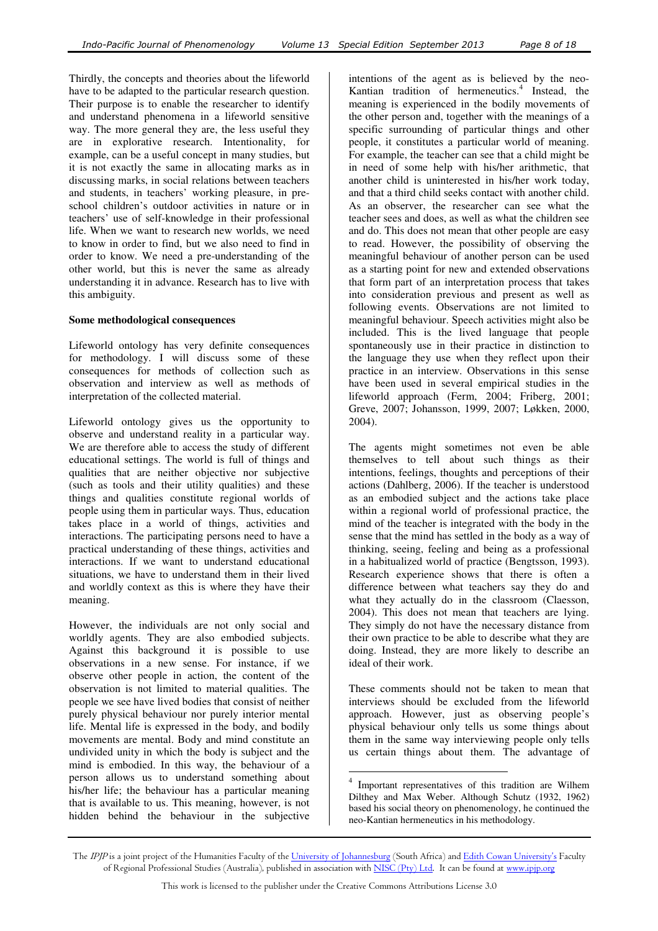Thirdly, the concepts and theories about the lifeworld have to be adapted to the particular research question. Their purpose is to enable the researcher to identify and understand phenomena in a lifeworld sensitive way. The more general they are, the less useful they are in explorative research. Intentionality, for example, can be a useful concept in many studies, but it is not exactly the same in allocating marks as in discussing marks, in social relations between teachers and students, in teachers' working pleasure, in preschool children's outdoor activities in nature or in teachers' use of self-knowledge in their professional life. When we want to research new worlds, we need to know in order to find, but we also need to find in order to know. We need a pre-understanding of the other world, but this is never the same as already understanding it in advance. Research has to live with this ambiguity.

### **Some methodological consequences**

Lifeworld ontology has very definite consequences for methodology. I will discuss some of these consequences for methods of collection such as observation and interview as well as methods of interpretation of the collected material.

Lifeworld ontology gives us the opportunity to observe and understand reality in a particular way. We are therefore able to access the study of different educational settings. The world is full of things and qualities that are neither objective nor subjective (such as tools and their utility qualities) and these things and qualities constitute regional worlds of people using them in particular ways. Thus, education takes place in a world of things, activities and interactions. The participating persons need to have a practical understanding of these things, activities and interactions. If we want to understand educational situations, we have to understand them in their lived and worldly context as this is where they have their meaning.

However, the individuals are not only social and worldly agents. They are also embodied subjects. Against this background it is possible to use observations in a new sense. For instance, if we observe other people in action, the content of the observation is not limited to material qualities. The people we see have lived bodies that consist of neither purely physical behaviour nor purely interior mental life. Mental life is expressed in the body, and bodily movements are mental. Body and mind constitute an undivided unity in which the body is subject and the mind is embodied. In this way, the behaviour of a person allows us to understand something about his/her life; the behaviour has a particular meaning that is available to us. This meaning, however, is not hidden behind the behaviour in the subjective

intentions of the agent as is believed by the neo-Kantian tradition of hermeneutics.<sup>4</sup> Instead, the meaning is experienced in the bodily movements of the other person and, together with the meanings of a specific surrounding of particular things and other people, it constitutes a particular world of meaning. For example, the teacher can see that a child might be in need of some help with his/her arithmetic, that another child is uninterested in his/her work today, and that a third child seeks contact with another child. As an observer, the researcher can see what the teacher sees and does, as well as what the children see and do. This does not mean that other people are easy to read. However, the possibility of observing the meaningful behaviour of another person can be used as a starting point for new and extended observations that form part of an interpretation process that takes into consideration previous and present as well as following events. Observations are not limited to meaningful behaviour. Speech activities might also be included. This is the lived language that people spontaneously use in their practice in distinction to the language they use when they reflect upon their practice in an interview. Observations in this sense have been used in several empirical studies in the lifeworld approach (Ferm, 2004; Friberg, 2001; Greve, 2007; Johansson, 1999, 2007; Løkken, 2000, 2004).

The agents might sometimes not even be able themselves to tell about such things as their intentions, feelings, thoughts and perceptions of their actions (Dahlberg, 2006). If the teacher is understood as an embodied subject and the actions take place within a regional world of professional practice, the mind of the teacher is integrated with the body in the sense that the mind has settled in the body as a way of thinking, seeing, feeling and being as a professional in a habitualized world of practice (Bengtsson, 1993). Research experience shows that there is often a difference between what teachers say they do and what they actually do in the classroom (Claesson, 2004). This does not mean that teachers are lying. They simply do not have the necessary distance from their own practice to be able to describe what they are doing. Instead, they are more likely to describe an ideal of their work.

These comments should not be taken to mean that interviews should be excluded from the lifeworld approach. However, just as observing people's physical behaviour only tells us some things about them in the same way interviewing people only tells us certain things about them. The advantage of

 $\overline{a}$ 

<sup>4</sup> Important representatives of this tradition are Wilhem Dilthey and Max Weber. Although Schutz (1932, 1962) based his social theory on phenomenology, he continued the neo-Kantian hermeneutics in his methodology.

The IPJP is a joint project of the Humanities Faculty of the University of Johannesburg (South Africa) and Edith Cowan University's Faculty of Regional Professional Studies (Australia), published in association with NISC (Pty) Ltd. It can be found at www.ipjp.org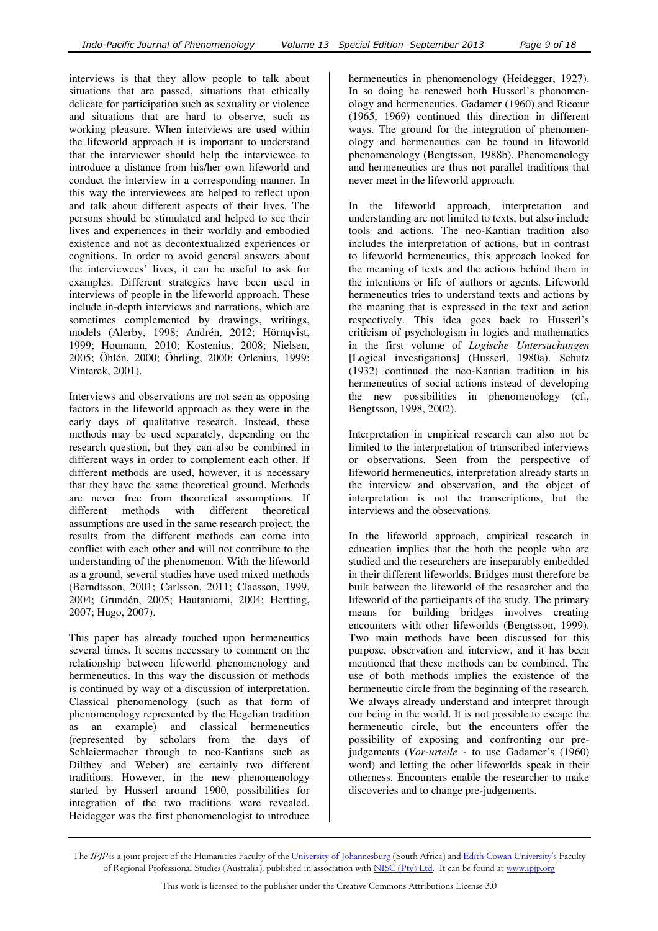interviews is that they allow people to talk about situations that are passed, situations that ethically delicate for participation such as sexuality or violence and situations that are hard to observe, such as working pleasure. When interviews are used within the lifeworld approach it is important to understand that the interviewer should help the interviewee to introduce a distance from his/her own lifeworld and conduct the interview in a corresponding manner. In this way the interviewees are helped to reflect upon and talk about different aspects of their lives. The persons should be stimulated and helped to see their lives and experiences in their worldly and embodied existence and not as decontextualized experiences or cognitions. In order to avoid general answers about the interviewees' lives, it can be useful to ask for examples. Different strategies have been used in interviews of people in the lifeworld approach. These include in-depth interviews and narrations, which are sometimes complemented by drawings, writings, models (Alerby, 1998; Andrén, 2012; Hörnqvist, 1999; Houmann, 2010; Kostenius, 2008; Nielsen, 2005; Öhlén, 2000; Öhrling, 2000; Orlenius, 1999; Vinterek, 2001).

Interviews and observations are not seen as opposing factors in the lifeworld approach as they were in the early days of qualitative research. Instead, these methods may be used separately, depending on the research question, but they can also be combined in different ways in order to complement each other. If different methods are used, however, it is necessary that they have the same theoretical ground. Methods are never free from theoretical assumptions. If different methods with different theoretical assumptions are used in the same research project, the results from the different methods can come into conflict with each other and will not contribute to the understanding of the phenomenon. With the lifeworld as a ground, several studies have used mixed methods (Berndtsson, 2001; Carlsson, 2011; Claesson, 1999, 2004; Grundén, 2005; Hautaniemi, 2004; Hertting, 2007; Hugo, 2007).

This paper has already touched upon hermeneutics several times. It seems necessary to comment on the relationship between lifeworld phenomenology and hermeneutics. In this way the discussion of methods is continued by way of a discussion of interpretation. Classical phenomenology (such as that form of phenomenology represented by the Hegelian tradition as an example) and classical hermeneutics (represented by scholars from the days of Schleiermacher through to neo-Kantians such as Dilthey and Weber) are certainly two different traditions. However, in the new phenomenology started by Husserl around 1900, possibilities for integration of the two traditions were revealed. Heidegger was the first phenomenologist to introduce

hermeneutics in phenomenology (Heidegger, 1927). In so doing he renewed both Husserl's phenomenology and hermeneutics. Gadamer (1960) and Ricœur (1965, 1969) continued this direction in different ways. The ground for the integration of phenomenology and hermeneutics can be found in lifeworld phenomenology (Bengtsson, 1988b). Phenomenology and hermeneutics are thus not parallel traditions that never meet in the lifeworld approach.

In the lifeworld approach, interpretation and understanding are not limited to texts, but also include tools and actions. The neo-Kantian tradition also includes the interpretation of actions, but in contrast to lifeworld hermeneutics, this approach looked for the meaning of texts and the actions behind them in the intentions or life of authors or agents. Lifeworld hermeneutics tries to understand texts and actions by the meaning that is expressed in the text and action respectively. This idea goes back to Husserl's criticism of psychologism in logics and mathematics in the first volume of *Logische Untersuchungen* [Logical investigations] (Husserl, 1980a). Schutz (1932) continued the neo-Kantian tradition in his hermeneutics of social actions instead of developing the new possibilities in phenomenology (cf., Bengtsson, 1998, 2002).

Interpretation in empirical research can also not be limited to the interpretation of transcribed interviews or observations. Seen from the perspective of lifeworld hermeneutics, interpretation already starts in the interview and observation, and the object of interpretation is not the transcriptions, but the interviews and the observations.

In the lifeworld approach, empirical research in education implies that the both the people who are studied and the researchers are inseparably embedded in their different lifeworlds. Bridges must therefore be built between the lifeworld of the researcher and the lifeworld of the participants of the study. The primary means for building bridges involves creating encounters with other lifeworlds (Bengtsson, 1999). Two main methods have been discussed for this purpose, observation and interview, and it has been mentioned that these methods can be combined. The use of both methods implies the existence of the hermeneutic circle from the beginning of the research. We always already understand and interpret through our being in the world. It is not possible to escape the hermeneutic circle, but the encounters offer the possibility of exposing and confronting our prejudgements (*Vor-urteile* - to use Gadamer's (1960) word) and letting the other lifeworlds speak in their otherness. Encounters enable the researcher to make discoveries and to change pre-judgements.

The *IPJP* is a joint project of the Humanities Faculty of the <u>University of Johannesburg</u> (South Africa) and <u>Edith Cowan University's</u> Faculty of Regional Professional Studies (Australia), published in association with <u>NISC (Pty) Ltd</u>. It can be found at <u>www.ipjp.org</u>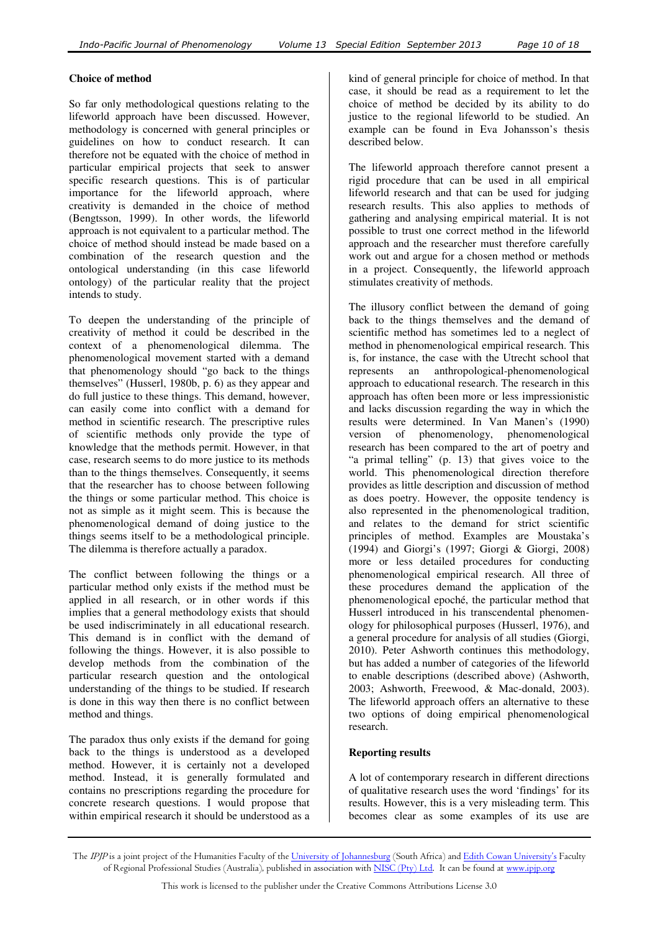# **Choice of method**

So far only methodological questions relating to the lifeworld approach have been discussed. However, methodology is concerned with general principles or guidelines on how to conduct research. It can therefore not be equated with the choice of method in particular empirical projects that seek to answer specific research questions. This is of particular importance for the lifeworld approach, where creativity is demanded in the choice of method (Bengtsson, 1999). In other words, the lifeworld approach is not equivalent to a particular method. The choice of method should instead be made based on a combination of the research question and the ontological understanding (in this case lifeworld ontology) of the particular reality that the project intends to study.

To deepen the understanding of the principle of creativity of method it could be described in the context of a phenomenological dilemma. The phenomenological movement started with a demand that phenomenology should "go back to the things themselves" (Husserl, 1980b, p. 6) as they appear and do full justice to these things. This demand, however, can easily come into conflict with a demand for method in scientific research. The prescriptive rules of scientific methods only provide the type of knowledge that the methods permit. However, in that case, research seems to do more justice to its methods than to the things themselves. Consequently, it seems that the researcher has to choose between following the things or some particular method. This choice is not as simple as it might seem. This is because the phenomenological demand of doing justice to the things seems itself to be a methodological principle. The dilemma is therefore actually a paradox.

The conflict between following the things or a particular method only exists if the method must be applied in all research, or in other words if this implies that a general methodology exists that should be used indiscriminately in all educational research. This demand is in conflict with the demand of following the things. However, it is also possible to develop methods from the combination of the particular research question and the ontological understanding of the things to be studied. If research is done in this way then there is no conflict between method and things.

The paradox thus only exists if the demand for going back to the things is understood as a developed method. However, it is certainly not a developed method. Instead, it is generally formulated and contains no prescriptions regarding the procedure for concrete research questions. I would propose that within empirical research it should be understood as a kind of general principle for choice of method. In that case, it should be read as a requirement to let the choice of method be decided by its ability to do justice to the regional lifeworld to be studied. An example can be found in Eva Johansson's thesis described below.

The lifeworld approach therefore cannot present a rigid procedure that can be used in all empirical lifeworld research and that can be used for judging research results. This also applies to methods of gathering and analysing empirical material. It is not possible to trust one correct method in the lifeworld approach and the researcher must therefore carefully work out and argue for a chosen method or methods in a project. Consequently, the lifeworld approach stimulates creativity of methods.

The illusory conflict between the demand of going back to the things themselves and the demand of scientific method has sometimes led to a neglect of method in phenomenological empirical research. This is, for instance, the case with the Utrecht school that represents an anthropological-phenomenological approach to educational research. The research in this approach has often been more or less impressionistic and lacks discussion regarding the way in which the results were determined. In Van Manen's (1990) version of phenomenology, phenomenological research has been compared to the art of poetry and "a primal telling" (p. 13) that gives voice to the world. This phenomenological direction therefore provides as little description and discussion of method as does poetry. However, the opposite tendency is also represented in the phenomenological tradition, and relates to the demand for strict scientific principles of method. Examples are Moustaka's (1994) and Giorgi's (1997; Giorgi & Giorgi, 2008) more or less detailed procedures for conducting phenomenological empirical research. All three of these procedures demand the application of the phenomenological epoché, the particular method that Husserl introduced in his transcendental phenomenology for philosophical purposes (Husserl, 1976), and a general procedure for analysis of all studies (Giorgi, 2010). Peter Ashworth continues this methodology, but has added a number of categories of the lifeworld to enable descriptions (described above) (Ashworth, 2003; Ashworth, Freewood, & Mac-donald, 2003). The lifeworld approach offers an alternative to these two options of doing empirical phenomenological research.

# **Reporting results**

A lot of contemporary research in different directions of qualitative research uses the word 'findings' for its results. However, this is a very misleading term. This becomes clear as some examples of its use are

The *IPJP* is a joint project of the Humanities Faculty of the <u>University of Johannesburg</u> (South Africa) and <u>Edith Cowan University's</u> Faculty of Regional Professional Studies (Australia), published in association with <u>NISC (Pty) Ltd</u>. It can be found at <u>www.ipjp.org</u>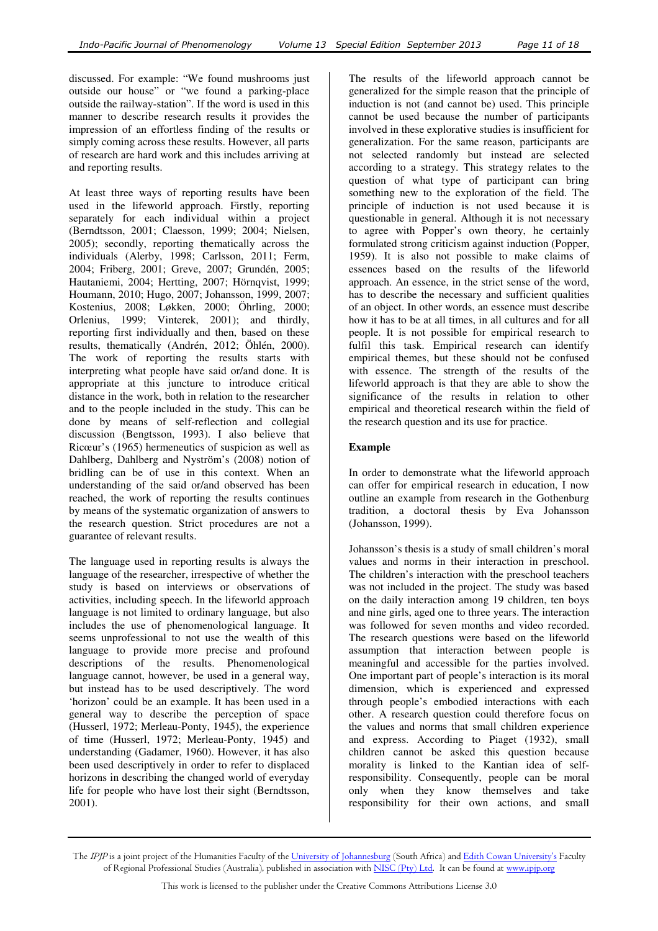discussed. For example: "We found mushrooms just outside our house" or "we found a parking-place outside the railway-station". If the word is used in this manner to describe research results it provides the impression of an effortless finding of the results or simply coming across these results. However, all parts of research are hard work and this includes arriving at and reporting results.

At least three ways of reporting results have been used in the lifeworld approach. Firstly, reporting separately for each individual within a project (Berndtsson, 2001; Claesson, 1999; 2004; Nielsen, 2005); secondly, reporting thematically across the individuals (Alerby, 1998; Carlsson, 2011; Ferm, 2004; Friberg, 2001; Greve, 2007; Grundén, 2005; Hautaniemi, 2004; Hertting, 2007; Hörnqvist, 1999; Houmann, 2010; Hugo, 2007; Johansson, 1999, 2007; Kostenius, 2008; Løkken, 2000; Öhrling, 2000; Orlenius, 1999; Vinterek, 2001); and thirdly, reporting first individually and then, based on these results, thematically (Andrén, 2012; Öhlén, 2000). The work of reporting the results starts with interpreting what people have said or/and done. It is appropriate at this juncture to introduce critical distance in the work, both in relation to the researcher and to the people included in the study. This can be done by means of self-reflection and collegial discussion (Bengtsson, 1993). I also believe that Ricœur's (1965) hermeneutics of suspicion as well as Dahlberg, Dahlberg and Nyström's (2008) notion of bridling can be of use in this context. When an understanding of the said or/and observed has been reached, the work of reporting the results continues by means of the systematic organization of answers to the research question. Strict procedures are not a guarantee of relevant results.

The language used in reporting results is always the language of the researcher, irrespective of whether the study is based on interviews or observations of activities, including speech. In the lifeworld approach language is not limited to ordinary language, but also includes the use of phenomenological language. It seems unprofessional to not use the wealth of this language to provide more precise and profound descriptions of the results. Phenomenological language cannot, however, be used in a general way, but instead has to be used descriptively. The word 'horizon' could be an example. It has been used in a general way to describe the perception of space (Husserl, 1972; Merleau-Ponty, 1945), the experience of time (Husserl, 1972; Merleau-Ponty, 1945) and understanding (Gadamer, 1960). However, it has also been used descriptively in order to refer to displaced horizons in describing the changed world of everyday life for people who have lost their sight (Berndtsson, 2001).

The results of the lifeworld approach cannot be generalized for the simple reason that the principle of induction is not (and cannot be) used. This principle cannot be used because the number of participants involved in these explorative studies is insufficient for generalization. For the same reason, participants are not selected randomly but instead are selected according to a strategy. This strategy relates to the question of what type of participant can bring something new to the exploration of the field. The principle of induction is not used because it is questionable in general. Although it is not necessary to agree with Popper's own theory, he certainly formulated strong criticism against induction (Popper, 1959). It is also not possible to make claims of essences based on the results of the lifeworld approach. An essence, in the strict sense of the word, has to describe the necessary and sufficient qualities of an object. In other words, an essence must describe how it has to be at all times, in all cultures and for all people. It is not possible for empirical research to fulfil this task. Empirical research can identify empirical themes, but these should not be confused with essence. The strength of the results of the lifeworld approach is that they are able to show the significance of the results in relation to other empirical and theoretical research within the field of the research question and its use for practice.

# **Example**

In order to demonstrate what the lifeworld approach can offer for empirical research in education, I now outline an example from research in the Gothenburg tradition, a doctoral thesis by Eva Johansson (Johansson, 1999).

Johansson's thesis is a study of small children's moral values and norms in their interaction in preschool. The children's interaction with the preschool teachers was not included in the project. The study was based on the daily interaction among 19 children, ten boys and nine girls, aged one to three years. The interaction was followed for seven months and video recorded. The research questions were based on the lifeworld assumption that interaction between people is meaningful and accessible for the parties involved. One important part of people's interaction is its moral dimension, which is experienced and expressed through people's embodied interactions with each other. A research question could therefore focus on the values and norms that small children experience and express. According to Piaget (1932), small children cannot be asked this question because morality is linked to the Kantian idea of selfresponsibility. Consequently, people can be moral only when they know themselves and take responsibility for their own actions, and small

The IPJP is a joint project of the Humanities Faculty of the University of Johannesburg (South Africa) and Edith Cowan University's Faculty of Regional Professional Studies (Australia), published in association with NISC (Pty) Ltd. It can be found at www.ipjp.org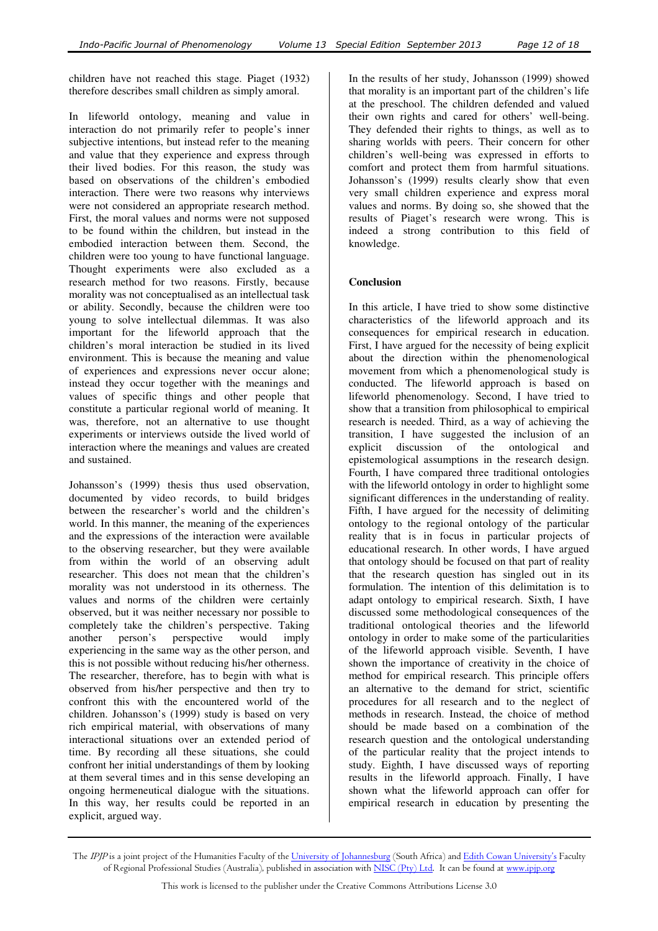children have not reached this stage. Piaget (1932) therefore describes small children as simply amoral.

In lifeworld ontology, meaning and value in interaction do not primarily refer to people's inner subjective intentions, but instead refer to the meaning and value that they experience and express through their lived bodies. For this reason, the study was based on observations of the children's embodied interaction. There were two reasons why interviews were not considered an appropriate research method. First, the moral values and norms were not supposed to be found within the children, but instead in the embodied interaction between them. Second, the children were too young to have functional language. Thought experiments were also excluded as a research method for two reasons. Firstly, because morality was not conceptualised as an intellectual task or ability. Secondly, because the children were too young to solve intellectual dilemmas. It was also important for the lifeworld approach that the children's moral interaction be studied in its lived environment. This is because the meaning and value of experiences and expressions never occur alone; instead they occur together with the meanings and values of specific things and other people that constitute a particular regional world of meaning. It was, therefore, not an alternative to use thought experiments or interviews outside the lived world of interaction where the meanings and values are created and sustained.

Johansson's (1999) thesis thus used observation, documented by video records, to build bridges between the researcher's world and the children's world. In this manner, the meaning of the experiences and the expressions of the interaction were available to the observing researcher, but they were available from within the world of an observing adult researcher. This does not mean that the children's morality was not understood in its otherness. The values and norms of the children were certainly observed, but it was neither necessary nor possible to completely take the children's perspective. Taking another person's perspective would imply experiencing in the same way as the other person, and this is not possible without reducing his/her otherness. The researcher, therefore, has to begin with what is observed from his/her perspective and then try to confront this with the encountered world of the children. Johansson's (1999) study is based on very rich empirical material, with observations of many interactional situations over an extended period of time. By recording all these situations, she could confront her initial understandings of them by looking at them several times and in this sense developing an ongoing hermeneutical dialogue with the situations. In this way, her results could be reported in an explicit, argued way.

In the results of her study, Johansson (1999) showed that morality is an important part of the children's life at the preschool. The children defended and valued their own rights and cared for others' well-being. They defended their rights to things, as well as to sharing worlds with peers. Their concern for other children's well-being was expressed in efforts to comfort and protect them from harmful situations. Johansson's (1999) results clearly show that even very small children experience and express moral values and norms. By doing so, she showed that the results of Piaget's research were wrong. This is indeed a strong contribution to this field of knowledge.

### **Conclusion**

In this article, I have tried to show some distinctive characteristics of the lifeworld approach and its consequences for empirical research in education. First, I have argued for the necessity of being explicit about the direction within the phenomenological movement from which a phenomenological study is conducted. The lifeworld approach is based on lifeworld phenomenology. Second, I have tried to show that a transition from philosophical to empirical research is needed. Third, as a way of achieving the transition, I have suggested the inclusion of an explicit discussion of the ontological and epistemological assumptions in the research design. Fourth, I have compared three traditional ontologies with the lifeworld ontology in order to highlight some significant differences in the understanding of reality. Fifth, I have argued for the necessity of delimiting ontology to the regional ontology of the particular reality that is in focus in particular projects of educational research. In other words, I have argued that ontology should be focused on that part of reality that the research question has singled out in its formulation. The intention of this delimitation is to adapt ontology to empirical research. Sixth, I have discussed some methodological consequences of the traditional ontological theories and the lifeworld ontology in order to make some of the particularities of the lifeworld approach visible. Seventh, I have shown the importance of creativity in the choice of method for empirical research. This principle offers an alternative to the demand for strict, scientific procedures for all research and to the neglect of methods in research. Instead, the choice of method should be made based on a combination of the research question and the ontological understanding of the particular reality that the project intends to study. Eighth, I have discussed ways of reporting results in the lifeworld approach. Finally, I have shown what the lifeworld approach can offer for empirical research in education by presenting the

The IPJP is a joint project of the Humanities Faculty of the University of Johannesburg (South Africa) and Edith Cowan University's Faculty of Regional Professional Studies (Australia), published in association with NISC (Pty) Ltd. It can be found at www.ipjp.org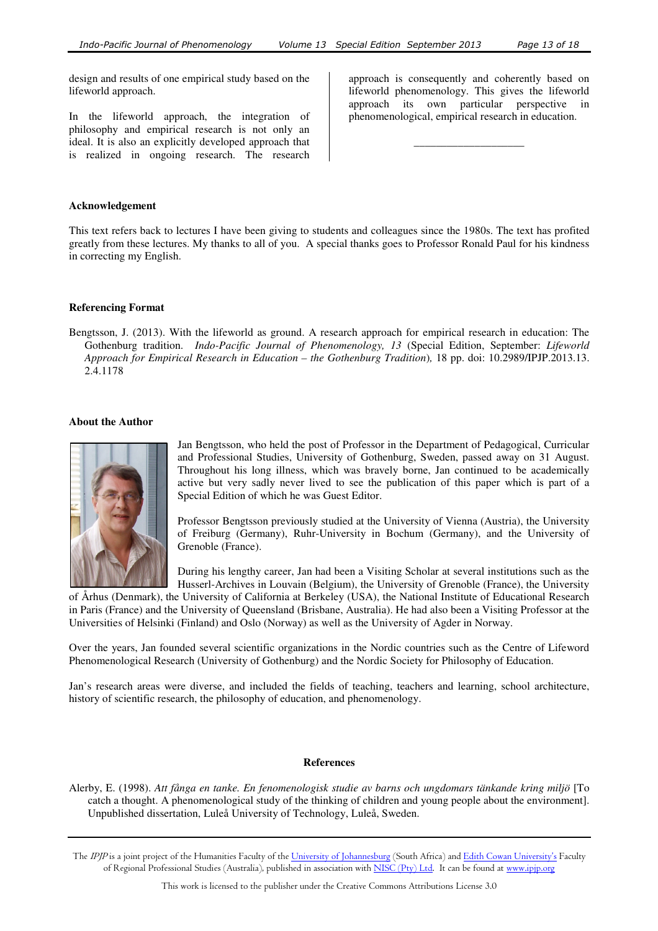design and results of one empirical study based on the lifeworld approach.

In the lifeworld approach, the integration of philosophy and empirical research is not only an ideal. It is also an explicitly developed approach that is realized in ongoing research. The research

approach is consequently and coherently based on lifeworld phenomenology. This gives the lifeworld approach its own particular perspective in phenomenological, empirical research in education.

\_\_\_\_\_\_\_\_\_\_\_\_\_\_\_\_\_\_\_\_

#### **Acknowledgement**

This text refers back to lectures I have been giving to students and colleagues since the 1980s. The text has profited greatly from these lectures. My thanks to all of you. A special thanks goes to Professor Ronald Paul for his kindness in correcting my English.

### **Referencing Format**

Bengtsson, J. (2013). With the lifeworld as ground. A research approach for empirical research in education: The Gothenburg tradition. *Indo-Pacific Journal of Phenomenology, 13* (Special Edition, September: *Lifeworld Approach for Empirical Research in Education – the Gothenburg Tradition*)*,* 18 pp. doi: 10.2989/IPJP.2013.13. 2.4.1178

### **About the Author**



Jan Bengtsson, who held the post of Professor in the Department of Pedagogical, Curricular and Professional Studies, University of Gothenburg, Sweden, passed away on 31 August. Throughout his long illness, which was bravely borne, Jan continued to be academically active but very sadly never lived to see the publication of this paper which is part of a Special Edition of which he was Guest Editor.

Professor Bengtsson previously studied at the University of Vienna (Austria), the University of Freiburg (Germany), Ruhr-University in Bochum (Germany), and the University of Grenoble (France).

During his lengthy career, Jan had been a Visiting Scholar at several institutions such as the Husserl-Archives in Louvain (Belgium), the University of Grenoble (France), the University

of Århus (Denmark), the University of California at Berkeley (USA), the National Institute of Educational Research in Paris (France) and the University of Queensland (Brisbane, Australia). He had also been a Visiting Professor at the Universities of Helsinki (Finland) and Oslo (Norway) as well as the University of Agder in Norway.

Over the years, Jan founded several scientific organizations in the Nordic countries such as the Centre of Lifeword Phenomenological Research (University of Gothenburg) and the Nordic Society for Philosophy of Education.

Jan's research areas were diverse, and included the fields of teaching, teachers and learning, school architecture, history of scientific research, the philosophy of education, and phenomenology.

#### **References**

Alerby, E. (1998). *Att fånga en tanke. En fenomenologisk studie av barns och ungdomars tänkande kring miljö* [To catch a thought. A phenomenological study of the thinking of children and young people about the environment]. Unpublished dissertation, Luleå University of Technology, Luleå, Sweden.

The IPJP is a joint project of the Humanities Faculty of the University of Johannesburg (South Africa) and Edith Cowan University's Faculty of Regional Professional Studies (Australia), published in association with NISC (Pty) Ltd. It can be found at www.ipjp.org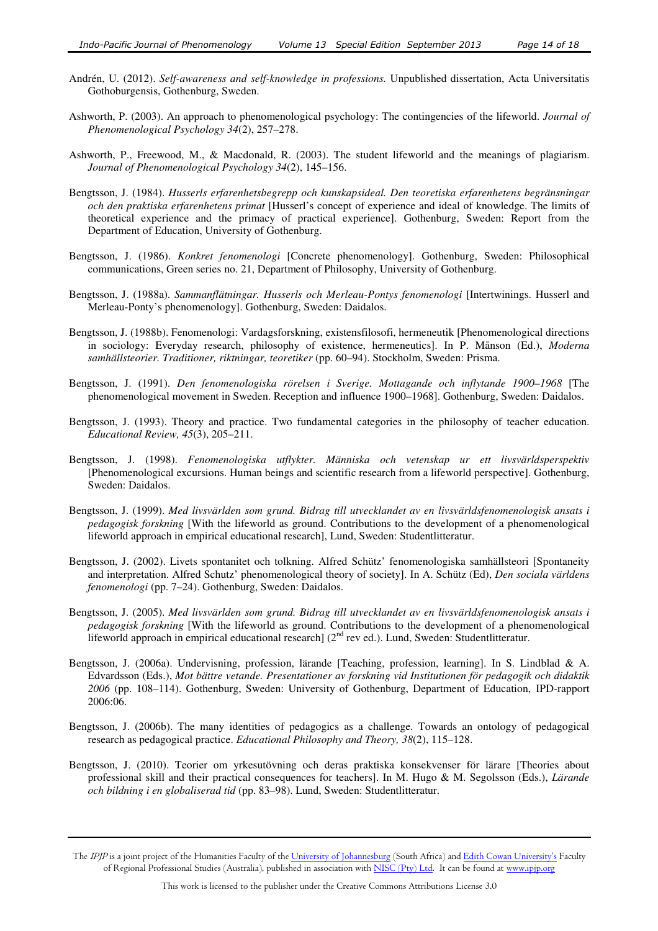- Andrén, U. (2012). *Self-awareness and self-knowledge in professions.* Unpublished dissertation, Acta Universitatis Gothoburgensis, Gothenburg, Sweden.
- Ashworth, P. (2003). An approach to phenomenological psychology: The contingencies of the lifeworld. *Journal of Phenomenological Psychology 34*(2), 257–278.
- Ashworth, P., Freewood, M., & Macdonald, R. (2003). The student lifeworld and the meanings of plagiarism. *Journal of Phenomenological Psychology 34*(2), 145–156.
- Bengtsson, J. (1984). *Husserls erfarenhetsbegrepp och kunskapsideal. Den teoretiska erfarenhetens begränsningar och den praktiska erfarenhetens primat* [Husserl's concept of experience and ideal of knowledge. The limits of theoretical experience and the primacy of practical experience]. Gothenburg, Sweden: Report from the Department of Education, University of Gothenburg.
- Bengtsson, J. (1986). *Konkret fenomenologi* [Concrete phenomenology]. Gothenburg, Sweden: Philosophical communications, Green series no. 21, Department of Philosophy, University of Gothenburg.
- Bengtsson, J. (1988a). *Sammanflätningar. Husserls och Merleau-Pontys fenomenologi* [Intertwinings. Husserl and Merleau-Ponty's phenomenology]. Gothenburg, Sweden: Daidalos.
- Bengtsson, J. (1988b). Fenomenologi: Vardagsforskning, existensfilosofi, hermeneutik [Phenomenological directions in sociology: Everyday research, philosophy of existence, hermeneutics]. In P. Månson (Ed.), *Moderna samhällsteorier. Traditioner, riktningar, teoretiker* (pp. 60–94). Stockholm, Sweden: Prisma.
- Bengtsson, J. (1991). *Den fenomenologiska rörelsen i Sverige. Mottagande och inflytande 1900–1968* [The phenomenological movement in Sweden. Reception and influence 1900–1968]. Gothenburg, Sweden: Daidalos.
- Bengtsson, J. (1993). Theory and practice. Two fundamental categories in the philosophy of teacher education. *Educational Review, 45*(3), 205–211.
- Bengtsson, J. (1998). *Fenomenologiska utflykter. Människa och vetenskap ur ett livsvärldsperspektiv* [Phenomenological excursions. Human beings and scientific research from a lifeworld perspective]. Gothenburg, Sweden: Daidalos.
- Bengtsson, J. (1999). *Med livsvärlden som grund. Bidrag till utvecklandet av en livsvärldsfenomenologisk ansats i pedagogisk forskning* [With the lifeworld as ground. Contributions to the development of a phenomenological lifeworld approach in empirical educational research], Lund, Sweden: Studentlitteratur.
- Bengtsson, J. (2002). Livets spontanitet och tolkning. Alfred Schütz' fenomenologiska samhällsteori [Spontaneity and interpretation. Alfred Schutz' phenomenological theory of society]. In A. Schütz (Ed), *Den sociala världens fenomenologi* (pp. 7–24). Gothenburg, Sweden: Daidalos.
- Bengtsson, J. (2005). *Med livsvärlden som grund. Bidrag till utvecklandet av en livsvärldsfenomenologisk ansats i pedagogisk forskning* [With the lifeworld as ground. Contributions to the development of a phenomenological lifeworld approach in empirical educational research] (2<sup>nd</sup> rev ed.). Lund, Sweden: Studentlitteratur.
- Bengtsson, J. (2006a). Undervisning, profession, lärande [Teaching, profession, learning]. In S. Lindblad & A. Edvardsson (Eds.), *Mot bättre vetande. Presentationer av forskning vid Institutionen för pedagogik och didaktik 2006* (pp. 108–114). Gothenburg, Sweden: University of Gothenburg, Department of Education, IPD-rapport 2006:06.
- Bengtsson, J. (2006b). The many identities of pedagogics as a challenge. Towards an ontology of pedagogical research as pedagogical practice. *Educational Philosophy and Theory, 38*(2), 115–128.
- Bengtsson, J. (2010). Teorier om yrkesutövning och deras praktiska konsekvenser för lärare [Theories about professional skill and their practical consequences for teachers]. In M. Hugo & M. Segolsson (Eds.), *Lärande och bildning i en globaliserad tid* (pp. 83–98). Lund, Sweden: Studentlitteratur.

The IPJP is a joint project of the Humanities Faculty of the University of Johannesburg (South Africa) and Edith Cowan University's Faculty of Regional Professional Studies (Australia), published in association with NISC (Pty) Ltd. It can be found at www.ipjp.org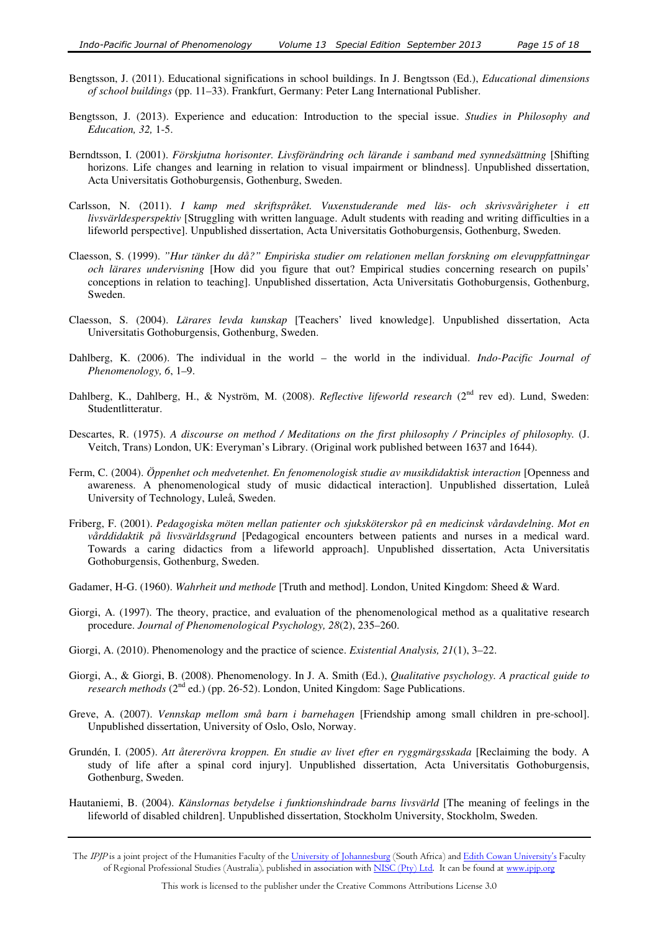- Bengtsson, J. (2011). Educational significations in school buildings. In J. Bengtsson (Ed.), *Educational dimensions of school buildings* (pp. 11–33). Frankfurt, Germany: Peter Lang International Publisher.
- Bengtsson, J. (2013). Experience and education: Introduction to the special issue. *Studies in Philosophy and Education, 32,* 1-5.
- Berndtsson, I. (2001). *Förskjutna horisonter. Livsförändring och lärande i samband med synnedsättning* [Shifting horizons. Life changes and learning in relation to visual impairment or blindness]. Unpublished dissertation, Acta Universitatis Gothoburgensis, Gothenburg, Sweden.
- Carlsson, N. (2011). *I kamp med skriftspråket. Vuxenstuderande med läs- och skrivsvårigheter i ett livsvärldesperspektiv* [Struggling with written language. Adult students with reading and writing difficulties in a lifeworld perspective]. Unpublished dissertation, Acta Universitatis Gothoburgensis, Gothenburg, Sweden.
- Claesson, S. (1999). *"Hur tänker du då?" Empiriska studier om relationen mellan forskning om elevuppfattningar och lärares undervisning* [How did you figure that out? Empirical studies concerning research on pupils' conceptions in relation to teaching]. Unpublished dissertation, Acta Universitatis Gothoburgensis, Gothenburg, Sweden.
- Claesson, S. (2004). *Lärares levda kunskap* [Teachers' lived knowledge]. Unpublished dissertation, Acta Universitatis Gothoburgensis, Gothenburg, Sweden.
- Dahlberg, K. (2006). The individual in the world the world in the individual. *Indo-Pacific Journal of Phenomenology, 6*, 1–9.
- Dahlberg, K., Dahlberg, H., & Nyström, M. (2008). *Reflective lifeworld research* (2<sup>nd</sup> rev ed). Lund, Sweden: Studentlitteratur.
- Descartes, R. (1975). *A discourse on method / Meditations on the first philosophy / Principles of philosophy.* (J. Veitch, Trans) London, UK: Everyman's Library. (Original work published between 1637 and 1644).
- Ferm, C. (2004). *Öppenhet och medvetenhet. En fenomenologisk studie av musikdidaktisk interaction* [Openness and awareness. A phenomenological study of music didactical interaction]. Unpublished dissertation, Luleå University of Technology, Luleå, Sweden.
- Friberg, F. (2001). *Pedagogiska möten mellan patienter och sjuksköterskor på en medicinsk vårdavdelning. Mot en vårddidaktik på livsvärldsgrund* [Pedagogical encounters between patients and nurses in a medical ward. Towards a caring didactics from a lifeworld approach]. Unpublished dissertation, Acta Universitatis Gothoburgensis, Gothenburg, Sweden.
- Gadamer, H-G. (1960). *Wahrheit und methode* [Truth and method]. London, United Kingdom: Sheed & Ward.
- Giorgi, A. (1997). The theory, practice, and evaluation of the phenomenological method as a qualitative research procedure. *Journal of Phenomenological Psychology, 28*(2), 235–260.
- Giorgi, A. (2010). Phenomenology and the practice of science. *Existential Analysis, 21*(1), 3–22.
- Giorgi, A., & Giorgi, B. (2008). Phenomenology. In J. A. Smith (Ed.), *Qualitative psychology. A practical guide to research methods* (2<sup>nd</sup> ed.) (pp. 26-52). London, United Kingdom: Sage Publications.
- Greve, A. (2007). *Vennskap mellom små barn i barnehagen* [Friendship among small children in pre-school]. Unpublished dissertation, University of Oslo, Oslo, Norway.
- Grundén, I. (2005). *Att återerövra kroppen. En studie av livet efter en ryggmärgsskada* [Reclaiming the body. A study of life after a spinal cord injury]. Unpublished dissertation, Acta Universitatis Gothoburgensis, Gothenburg, Sweden.
- Hautaniemi, B. (2004). *Känslornas betydelse i funktionshindrade barns livsvärld* [The meaning of feelings in the lifeworld of disabled children]. Unpublished dissertation, Stockholm University, Stockholm, Sweden.
- The IPJP is a joint project of the Humanities Faculty of the University of Johannesburg (South Africa) and Edith Cowan University's Faculty of Regional Professional Studies (Australia), published in association with NISC (Pty) Ltd. It can be found at www.ipjp.org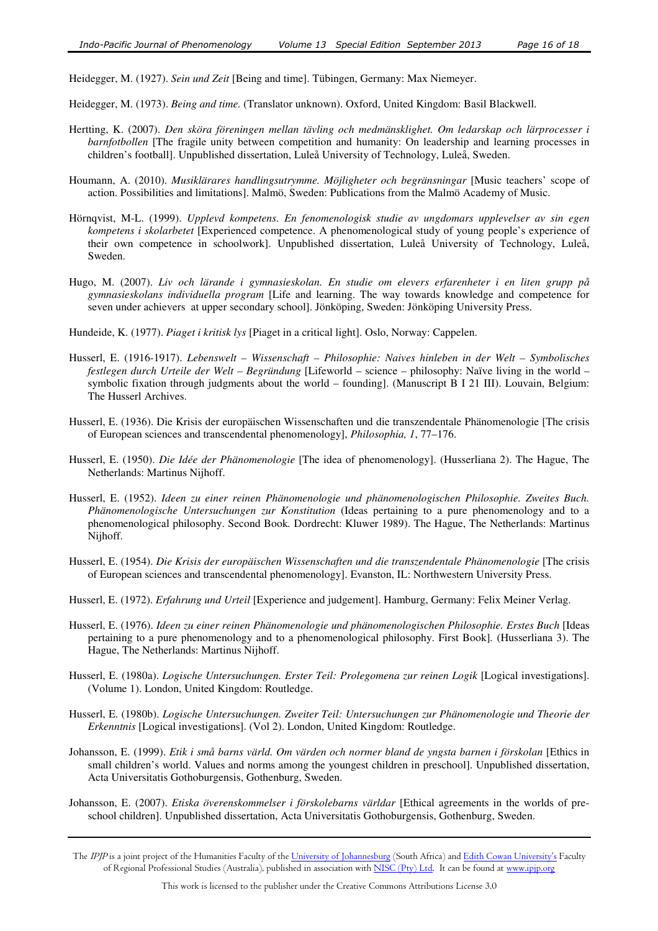Heidegger, M. (1927). *Sein und Zeit* [Being and time]. Tübingen, Germany: Max Niemeyer.

- Heidegger, M. (1973). *Being and time.* (Translator unknown). Oxford, United Kingdom: Basil Blackwell.
- Hertting, K. (2007). *Den sköra föreningen mellan tävling och medmänsklighet. Om ledarskap och lärprocesser i barnfotbollen* [The fragile unity between competition and humanity: On leadership and learning processes in children's football]. Unpublished dissertation, Luleå University of Technology, Luleå, Sweden.
- Houmann, A. (2010). *Musiklärares handlingsutrymme. Möjligheter och begränsningar* [Music teachers' scope of action. Possibilities and limitations]. Malmö, Sweden: Publications from the Malmö Academy of Music.
- Hörnqvist, M-L. (1999). *Upplevd kompetens. En fenomenologisk studie av ungdomars upplevelser av sin egen kompetens i skolarbetet* [Experienced competence. A phenomenological study of young people's experience of their own competence in schoolwork]. Unpublished dissertation, Luleå University of Technology, Luleå, Sweden.
- Hugo, M. (2007). *Liv och lärande i gymnasieskolan. En studie om elevers erfarenheter i en liten grupp på gymnasieskolans individuella program* [Life and learning. The way towards knowledge and competence for seven under achievers at upper secondary school]. Jönköping, Sweden: Jönköping University Press.
- Hundeide, K. (1977). *Piaget i kritisk lys* [Piaget in a critical light]. Oslo, Norway: Cappelen.
- Husserl, E. (1916-1917). *Lebenswelt Wissenschaft Philosophie: Naives hinleben in der Welt Symbolisches festlegen durch Urteile der Welt – Begründung* [Lifeworld – science – philosophy: Naïve living in the world – symbolic fixation through judgments about the world – founding]. (Manuscript B I 21 III). Louvain, Belgium: The Husserl Archives.
- Husserl, E. (1936). Die Krisis der europäischen Wissenschaften und die transzendentale Phänomenologie [The crisis of European sciences and transcendental phenomenology], *Philosophia, 1*, 77–176.
- Husserl, E. (1950). *Die Idée der Phänomenologie* [The idea of phenomenology]. (Husserliana 2). The Hague, The Netherlands: Martinus Nijhoff.
- Husserl, E. (1952). *Ideen zu einer reinen Phänomenologie und phänomenologischen Philosophie. Zweites Buch. Phänomenologische Untersuchungen zur Konstitution* (Ideas pertaining to a pure phenomenology and to a phenomenological philosophy. Second Book*.* Dordrecht: Kluwer 1989). The Hague, The Netherlands: Martinus Nijhoff.
- Husserl, E. (1954). *Die Krisis der europäischen Wissenschaften und die transzendentale Phänomenologie* [The crisis of European sciences and transcendental phenomenology]. Evanston, IL: Northwestern University Press.
- Husserl, E. (1972). *Erfahrung und Urteil* [Experience and judgement]. Hamburg, Germany: Felix Meiner Verlag.
- Husserl, E. (1976). *Ideen zu einer reinen Phänomenologie und phänomenologischen Philosophie. Erstes Buch* [Ideas pertaining to a pure phenomenology and to a phenomenological philosophy. First Book]*.* (Husserliana 3). The Hague, The Netherlands: Martinus Nijhoff.
- Husserl, E. (1980a). *Logische Untersuchungen. Erster Teil: Prolegomena zur reinen Logik* [Logical investigations]. (Volume 1). London, United Kingdom: Routledge.
- Husserl, E. (1980b). *Logische Untersuchungen. Zweiter Teil: Untersuchungen zur Phänomenologie und Theorie der Erkenntnis* [Logical investigations]. (Vol 2). London, United Kingdom: Routledge.
- Johansson, E. (1999). *Etik i små barns värld. Om värden och normer bland de yngsta barnen i förskolan* [Ethics in small children's world. Values and norms among the youngest children in preschool]. Unpublished dissertation, Acta Universitatis Gothoburgensis, Gothenburg, Sweden.
- Johansson, E. (2007). *Etiska överenskommelser i förskolebarns världar* [Ethical agreements in the worlds of preschool children]. Unpublished dissertation, Acta Universitatis Gothoburgensis, Gothenburg, Sweden.

The *IPJP* is a joint project of the Humanities Faculty of the <u>University of Johannesburg</u> (South Africa) and <u>Edith Cowan University's</u> Faculty of Regional Professional Studies (Australia), published in association with <u>NISC (Pty) Ltd</u>. It can be found at <u>www.ipjp.org</u>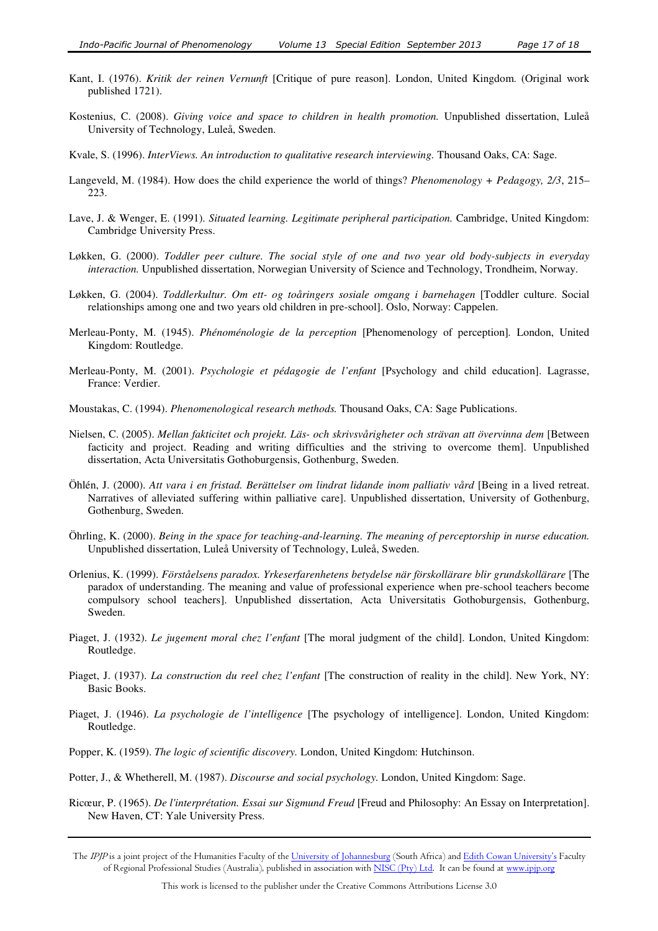- Kant, I. (1976). *Kritik der reinen Vernunft* [Critique of pure reason]. London, United Kingdom. (Original work published 1721).
- Kostenius, C. (2008). *Giving voice and space to children in health promotion.* Unpublished dissertation, Luleå University of Technology, Luleå, Sweden.
- Kvale, S. (1996). *InterViews. An introduction to qualitative research interviewing.* Thousand Oaks, CA: Sage.
- Langeveld, M. (1984). How does the child experience the world of things? *Phenomenology + Pedagogy, 2/3*, 215– 223.
- Lave, J. & Wenger, E. (1991). *Situated learning. Legitimate peripheral participation.* Cambridge, United Kingdom: Cambridge University Press.
- Løkken, G. (2000). *Toddler peer culture. The social style of one and two year old body-subjects in everyday interaction.* Unpublished dissertation, Norwegian University of Science and Technology, Trondheim, Norway.
- Løkken, G. (2004). *Toddlerkultur. Om ett- og toåringers sosiale omgang i barnehagen* [Toddler culture. Social relationships among one and two years old children in pre-school]. Oslo, Norway: Cappelen.
- Merleau-Ponty, M. (1945). *Phénoménologie de la perception* [Phenomenology of perception]*.* London, United Kingdom: Routledge.
- Merleau-Ponty, M. (2001). *Psychologie et pédagogie de l'enfant* [Psychology and child education]. Lagrasse, France: Verdier.
- Moustakas, C. (1994). *Phenomenological research methods.* Thousand Oaks, CA: Sage Publications.
- Nielsen, C. (2005). *Mellan fakticitet och projekt. Läs- och skrivsvårigheter och strävan att övervinna dem* [Between facticity and project. Reading and writing difficulties and the striving to overcome them]. Unpublished dissertation, Acta Universitatis Gothoburgensis, Gothenburg, Sweden.
- Öhlén, J. (2000). *Att vara i en fristad. Berättelser om lindrat lidande inom palliativ vård* [Being in a lived retreat. Narratives of alleviated suffering within palliative care]. Unpublished dissertation, University of Gothenburg, Gothenburg, Sweden.
- Öhrling, K. (2000). *Being in the space for teaching-and-learning. The meaning of perceptorship in nurse education.* Unpublished dissertation, Luleå University of Technology, Luleå, Sweden.
- Orlenius, K. (1999). *Förståelsens paradox. Yrkeserfarenhetens betydelse när förskollärare blir grundskollärare* [The paradox of understanding. The meaning and value of professional experience when pre-school teachers become compulsory school teachers]. Unpublished dissertation, Acta Universitatis Gothoburgensis, Gothenburg, Sweden.
- Piaget, J. (1932). *Le jugement moral chez l'enfant* [The moral judgment of the child]. London, United Kingdom: Routledge.
- Piaget, J. (1937). *La construction du reel chez l'enfant* [The construction of reality in the child]. New York, NY: Basic Books.
- Piaget, J. (1946). *La psychologie de l'intelligence* [The psychology of intelligence]. London, United Kingdom: Routledge.
- Popper, K. (1959). *The logic of scientific discovery.* London, United Kingdom: Hutchinson.
- Potter, J., & Whetherell, M. (1987). *Discourse and social psychology.* London, United Kingdom: Sage.
- Ricœur, P. (1965). *De l'interprétation. Essai sur Sigmund Freud* [Freud and Philosophy: An Essay on Interpretation]. New Haven, CT: Yale University Press.
- The IPJP is a joint project of the Humanities Faculty of the University of Johannesburg (South Africa) and Edith Cowan University's Faculty of Regional Professional Studies (Australia), published in association with NISC (Pty) Ltd. It can be found at www.ipjp.org